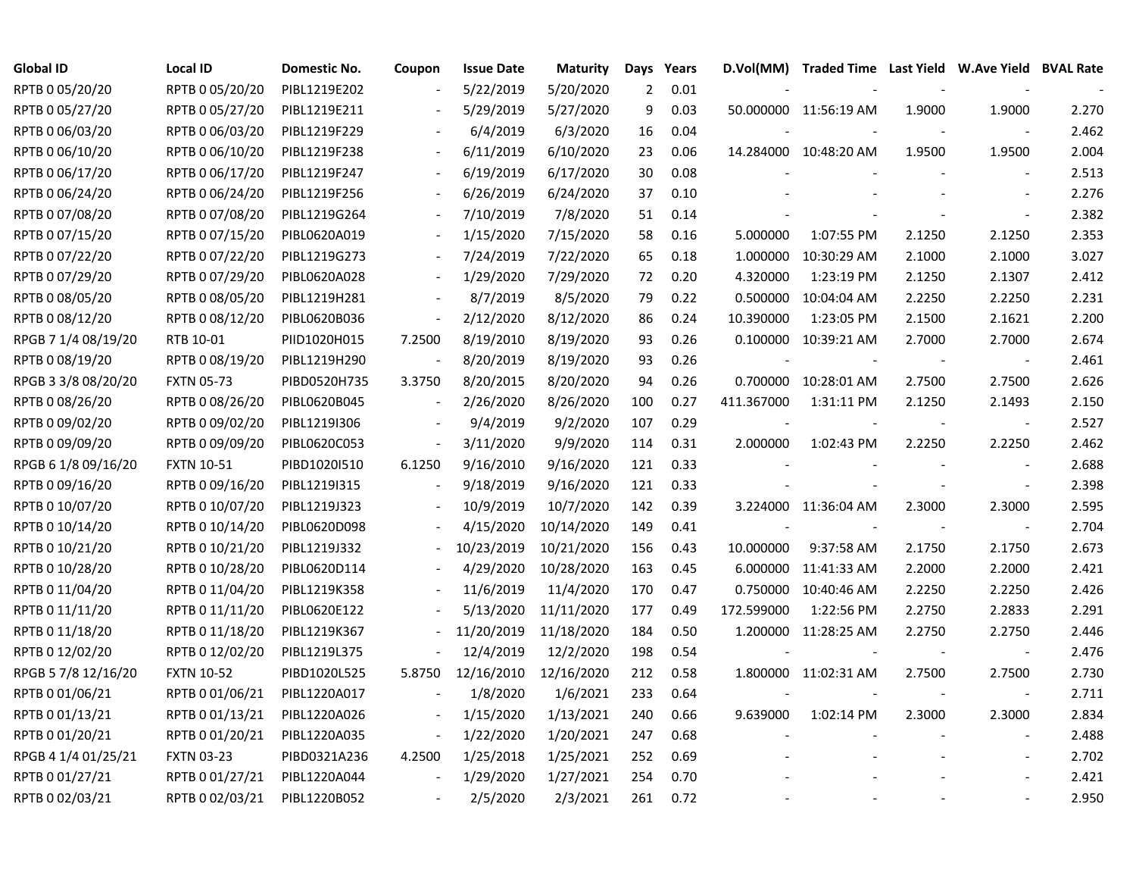| <b>Global ID</b>    | <b>Local ID</b>   | Domestic No. | Coupon                   | <b>Issue Date</b> | <b>Maturity</b> | Days           | Years | D.Vol(MM)  | Traded Time Last Yield W.Ave Yield BVAL Rate |        |                          |       |
|---------------------|-------------------|--------------|--------------------------|-------------------|-----------------|----------------|-------|------------|----------------------------------------------|--------|--------------------------|-------|
| RPTB 0 05/20/20     | RPTB 0 05/20/20   | PIBL1219E202 |                          | 5/22/2019         | 5/20/2020       | $\overline{2}$ | 0.01  |            |                                              |        |                          |       |
| RPTB 0 05/27/20     | RPTB 0 05/27/20   | PIBL1219E211 |                          | 5/29/2019         | 5/27/2020       | 9              | 0.03  |            | 50.000000 11:56:19 AM                        | 1.9000 | 1.9000                   | 2.270 |
| RPTB 0 06/03/20     | RPTB 0 06/03/20   | PIBL1219F229 |                          | 6/4/2019          | 6/3/2020        | 16             | 0.04  |            |                                              |        |                          | 2.462 |
| RPTB 0 06/10/20     | RPTB 0 06/10/20   | PIBL1219F238 |                          | 6/11/2019         | 6/10/2020       | 23             | 0.06  |            | 14.284000 10:48:20 AM                        | 1.9500 | 1.9500                   | 2.004 |
| RPTB 0 06/17/20     | RPTB 0 06/17/20   | PIBL1219F247 | $\blacksquare$           | 6/19/2019         | 6/17/2020       | 30             | 0.08  |            |                                              |        |                          | 2.513 |
| RPTB 0 06/24/20     | RPTB 0 06/24/20   | PIBL1219F256 | $\overline{\phantom{a}}$ | 6/26/2019         | 6/24/2020       | 37             | 0.10  |            |                                              |        |                          | 2.276 |
| RPTB 0 07/08/20     | RPTB 0 07/08/20   | PIBL1219G264 |                          | 7/10/2019         | 7/8/2020        | 51             | 0.14  |            |                                              |        |                          | 2.382 |
| RPTB 0 07/15/20     | RPTB 0 07/15/20   | PIBL0620A019 |                          | 1/15/2020         | 7/15/2020       | 58             | 0.16  | 5.000000   | 1:07:55 PM                                   | 2.1250 | 2.1250                   | 2.353 |
| RPTB 0 07/22/20     | RPTB 0 07/22/20   | PIBL1219G273 |                          | 7/24/2019         | 7/22/2020       | 65             | 0.18  | 1.000000   | 10:30:29 AM                                  | 2.1000 | 2.1000                   | 3.027 |
| RPTB 0 07/29/20     | RPTB 0 07/29/20   | PIBL0620A028 |                          | 1/29/2020         | 7/29/2020       | 72             | 0.20  | 4.320000   | 1:23:19 PM                                   | 2.1250 | 2.1307                   | 2.412 |
| RPTB 0 08/05/20     | RPTB 0 08/05/20   | PIBL1219H281 |                          | 8/7/2019          | 8/5/2020        | 79             | 0.22  | 0.500000   | 10:04:04 AM                                  | 2.2250 | 2.2250                   | 2.231 |
| RPTB 0 08/12/20     | RPTB 0 08/12/20   | PIBL0620B036 | $\overline{\phantom{a}}$ | 2/12/2020         | 8/12/2020       | 86             | 0.24  | 10.390000  | 1:23:05 PM                                   | 2.1500 | 2.1621                   | 2.200 |
| RPGB 7 1/4 08/19/20 | RTB 10-01         | PIID1020H015 | 7.2500                   | 8/19/2010         | 8/19/2020       | 93             | 0.26  | 0.100000   | 10:39:21 AM                                  | 2.7000 | 2.7000                   | 2.674 |
| RPTB 0 08/19/20     | RPTB 0 08/19/20   | PIBL1219H290 | $\sim$                   | 8/20/2019         | 8/19/2020       | 93             | 0.26  |            |                                              |        | $\sim$                   | 2.461 |
| RPGB 3 3/8 08/20/20 | <b>FXTN 05-73</b> | PIBD0520H735 | 3.3750                   | 8/20/2015         | 8/20/2020       | 94             | 0.26  |            | 0.700000 10:28:01 AM                         | 2.7500 | 2.7500                   | 2.626 |
| RPTB 0 08/26/20     | RPTB 0 08/26/20   | PIBL0620B045 |                          | 2/26/2020         | 8/26/2020       | 100            | 0.27  | 411.367000 | 1:31:11 PM                                   | 2.1250 | 2.1493                   | 2.150 |
| RPTB 0 09/02/20     | RPTB 0 09/02/20   | PIBL1219I306 | $\overline{a}$           | 9/4/2019          | 9/2/2020        | 107            | 0.29  |            |                                              |        | $\overline{\phantom{a}}$ | 2.527 |
| RPTB 0 09/09/20     | RPTB 0 09/09/20   | PIBL0620C053 | $\overline{\phantom{a}}$ | 3/11/2020         | 9/9/2020        | 114            | 0.31  | 2.000000   | 1:02:43 PM                                   | 2.2250 | 2.2250                   | 2.462 |
| RPGB 6 1/8 09/16/20 | <b>FXTN 10-51</b> | PIBD1020I510 | 6.1250                   | 9/16/2010         | 9/16/2020       | 121            | 0.33  |            |                                              |        | $\blacksquare$           | 2.688 |
| RPTB 0 09/16/20     | RPTB 0 09/16/20   | PIBL1219I315 | $\blacksquare$           | 9/18/2019         | 9/16/2020       | 121            | 0.33  |            |                                              |        | $\blacksquare$           | 2.398 |
| RPTB 0 10/07/20     | RPTB 0 10/07/20   | PIBL1219J323 |                          | 10/9/2019         | 10/7/2020       | 142            | 0.39  |            | 3.224000 11:36:04 AM                         | 2.3000 | 2.3000                   | 2.595 |
| RPTB 0 10/14/20     | RPTB 0 10/14/20   | PIBL0620D098 |                          | 4/15/2020         | 10/14/2020      | 149            | 0.41  |            |                                              |        | $\overline{\phantom{a}}$ | 2.704 |
| RPTB 0 10/21/20     | RPTB 0 10/21/20   | PIBL1219J332 |                          | 10/23/2019        | 10/21/2020      | 156            | 0.43  | 10.000000  | 9:37:58 AM                                   | 2.1750 | 2.1750                   | 2.673 |
| RPTB 0 10/28/20     | RPTB 0 10/28/20   | PIBL0620D114 |                          | 4/29/2020         | 10/28/2020      | 163            | 0.45  | 6.000000   | 11:41:33 AM                                  | 2.2000 | 2.2000                   | 2.421 |
| RPTB 0 11/04/20     | RPTB 0 11/04/20   | PIBL1219K358 |                          | 11/6/2019         | 11/4/2020       | 170            | 0.47  | 0.750000   | 10:40:46 AM                                  | 2.2250 | 2.2250                   | 2.426 |
| RPTB 0 11/11/20     | RPTB 0 11/11/20   | PIBL0620E122 |                          | 5/13/2020         | 11/11/2020      | 177            | 0.49  | 172.599000 | 1:22:56 PM                                   | 2.2750 | 2.2833                   | 2.291 |
| RPTB 0 11/18/20     | RPTB 0 11/18/20   | PIBL1219K367 |                          | 11/20/2019        | 11/18/2020      | 184            | 0.50  |            | 1.200000 11:28:25 AM                         | 2.2750 | 2.2750                   | 2.446 |
| RPTB 0 12/02/20     | RPTB 0 12/02/20   | PIBL1219L375 |                          | 12/4/2019         | 12/2/2020       | 198            | 0.54  |            |                                              |        |                          | 2.476 |
| RPGB 5 7/8 12/16/20 | <b>FXTN 10-52</b> | PIBD1020L525 | 5.8750                   | 12/16/2010        | 12/16/2020      | 212            | 0.58  |            | 1.800000 11:02:31 AM                         | 2.7500 | 2.7500                   | 2.730 |
| RPTB 0 01/06/21     | RPTB 0 01/06/21   | PIBL1220A017 |                          | 1/8/2020          | 1/6/2021        | 233            | 0.64  |            |                                              |        | $\overline{\phantom{a}}$ | 2.711 |
| RPTB 0 01/13/21     | RPTB 0 01/13/21   | PIBL1220A026 | $\overline{\phantom{a}}$ | 1/15/2020         | 1/13/2021       | 240            | 0.66  | 9.639000   | 1:02:14 PM                                   | 2.3000 | 2.3000                   | 2.834 |
| RPTB 0 01/20/21     | RPTB 0 01/20/21   | PIBL1220A035 | $\overline{\phantom{a}}$ | 1/22/2020         | 1/20/2021       | 247            | 0.68  |            |                                              |        | $\blacksquare$           | 2.488 |
| RPGB 4 1/4 01/25/21 | <b>FXTN 03-23</b> | PIBD0321A236 | 4.2500                   | 1/25/2018         | 1/25/2021       | 252            | 0.69  |            |                                              |        |                          | 2.702 |
| RPTB 0 01/27/21     | RPTB 0 01/27/21   | PIBL1220A044 | $\overline{\phantom{a}}$ | 1/29/2020         | 1/27/2021       | 254            | 0.70  |            |                                              |        |                          | 2.421 |
| RPTB 0 02/03/21     | RPTB 0 02/03/21   | PIBL1220B052 |                          | 2/5/2020          | 2/3/2021        | 261            | 0.72  |            |                                              |        |                          | 2.950 |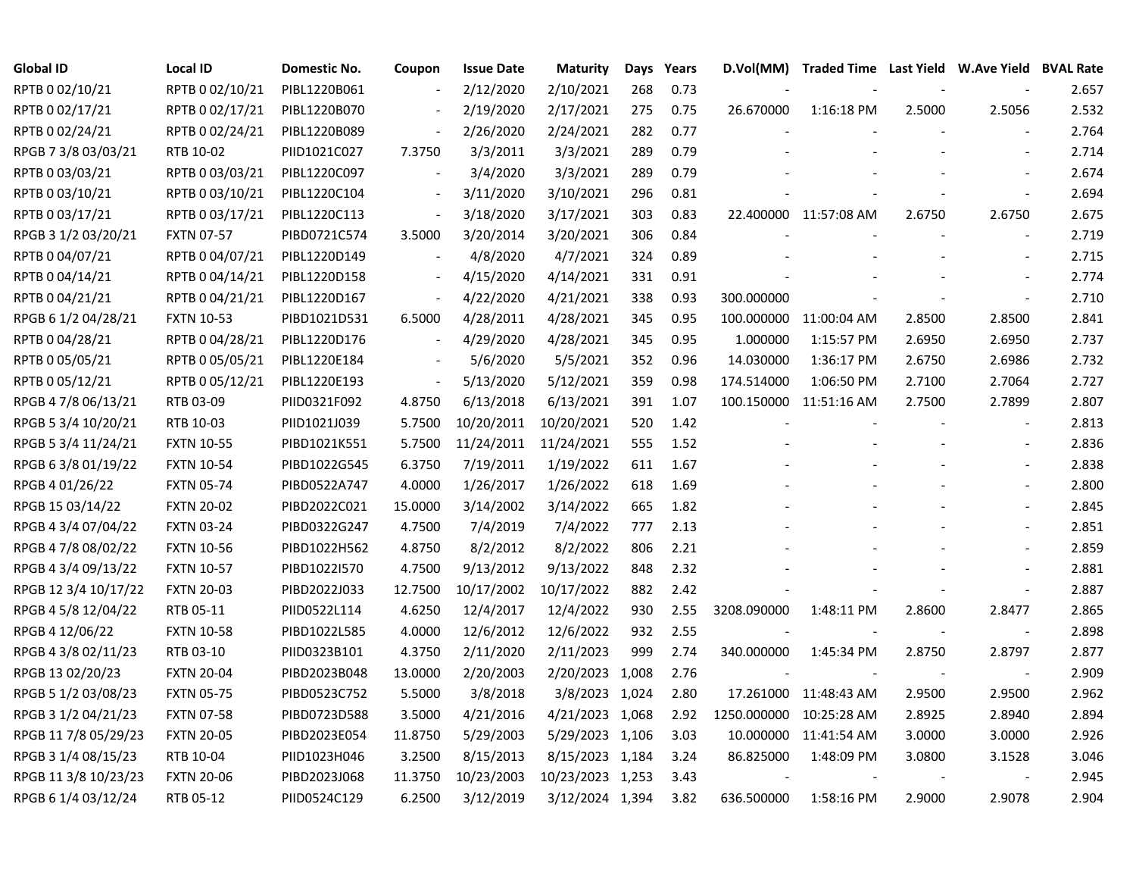| <b>Global ID</b>     | <b>Local ID</b>   | Domestic No. | Coupon                   | <b>Issue Date</b> | <b>Maturity</b>  | Days | Years | D.Vol(MM)   |                        |        | Traded Time Last Yield W.Ave Yield BVAL Rate |       |
|----------------------|-------------------|--------------|--------------------------|-------------------|------------------|------|-------|-------------|------------------------|--------|----------------------------------------------|-------|
| RPTB 0 02/10/21      | RPTB 0 02/10/21   | PIBL1220B061 |                          | 2/12/2020         | 2/10/2021        | 268  | 0.73  |             |                        |        |                                              | 2.657 |
| RPTB 0 02/17/21      | RPTB 0 02/17/21   | PIBL1220B070 |                          | 2/19/2020         | 2/17/2021        | 275  | 0.75  | 26.670000   | 1:16:18 PM             | 2.5000 | 2.5056                                       | 2.532 |
| RPTB 0 02/24/21      | RPTB 0 02/24/21   | PIBL1220B089 | $\overline{\phantom{a}}$ | 2/26/2020         | 2/24/2021        | 282  | 0.77  |             |                        |        |                                              | 2.764 |
| RPGB 7 3/8 03/03/21  | RTB 10-02         | PIID1021C027 | 7.3750                   | 3/3/2011          | 3/3/2021         | 289  | 0.79  |             |                        |        |                                              | 2.714 |
| RPTB 0 03/03/21      | RPTB 0 03/03/21   | PIBL1220C097 | $\overline{\phantom{a}}$ | 3/4/2020          | 3/3/2021         | 289  | 0.79  |             |                        |        | $\blacksquare$                               | 2.674 |
| RPTB 0 03/10/21      | RPTB 0 03/10/21   | PIBL1220C104 | $\overline{\phantom{a}}$ | 3/11/2020         | 3/10/2021        | 296  | 0.81  |             |                        |        | $\overline{\phantom{a}}$                     | 2.694 |
| RPTB 0 03/17/21      | RPTB 0 03/17/21   | PIBL1220C113 | $\overline{\phantom{a}}$ | 3/18/2020         | 3/17/2021        | 303  | 0.83  |             | 22.400000 11:57:08 AM  | 2.6750 | 2.6750                                       | 2.675 |
| RPGB 3 1/2 03/20/21  | <b>FXTN 07-57</b> | PIBD0721C574 | 3.5000                   | 3/20/2014         | 3/20/2021        | 306  | 0.84  |             |                        |        | $\overline{\phantom{a}}$                     | 2.719 |
| RPTB 0 04/07/21      | RPTB 0 04/07/21   | PIBL1220D149 |                          | 4/8/2020          | 4/7/2021         | 324  | 0.89  |             |                        |        |                                              | 2.715 |
| RPTB 0 04/14/21      | RPTB 0 04/14/21   | PIBL1220D158 | $\overline{\phantom{a}}$ | 4/15/2020         | 4/14/2021        | 331  | 0.91  |             |                        |        | $\blacksquare$                               | 2.774 |
| RPTB 0 04/21/21      | RPTB 0 04/21/21   | PIBL1220D167 | $\blacksquare$           | 4/22/2020         | 4/21/2021        | 338  | 0.93  | 300.000000  |                        |        | $\blacksquare$                               | 2.710 |
| RPGB 6 1/2 04/28/21  | <b>FXTN 10-53</b> | PIBD1021D531 | 6.5000                   | 4/28/2011         | 4/28/2021        | 345  | 0.95  |             | 100.000000 11:00:04 AM | 2.8500 | 2.8500                                       | 2.841 |
| RPTB 0 04/28/21      | RPTB 0 04/28/21   | PIBL1220D176 | $\blacksquare$           | 4/29/2020         | 4/28/2021        | 345  | 0.95  | 1.000000    | 1:15:57 PM             | 2.6950 | 2.6950                                       | 2.737 |
| RPTB 0 05/05/21      | RPTB 0 05/05/21   | PIBL1220E184 |                          | 5/6/2020          | 5/5/2021         | 352  | 0.96  | 14.030000   | 1:36:17 PM             | 2.6750 | 2.6986                                       | 2.732 |
| RPTB 0 05/12/21      | RPTB 0 05/12/21   | PIBL1220E193 | $\blacksquare$           | 5/13/2020         | 5/12/2021        | 359  | 0.98  | 174.514000  | 1:06:50 PM             | 2.7100 | 2.7064                                       | 2.727 |
| RPGB 4 7/8 06/13/21  | RTB 03-09         | PIID0321F092 | 4.8750                   | 6/13/2018         | 6/13/2021        | 391  | 1.07  |             | 100.150000 11:51:16 AM | 2.7500 | 2.7899                                       | 2.807 |
| RPGB 5 3/4 10/20/21  | RTB 10-03         | PIID1021J039 | 5.7500                   | 10/20/2011        | 10/20/2021       | 520  | 1.42  |             |                        |        | $\overline{\phantom{a}}$                     | 2.813 |
| RPGB 5 3/4 11/24/21  | <b>FXTN 10-55</b> | PIBD1021K551 | 5.7500                   | 11/24/2011        | 11/24/2021       | 555  | 1.52  |             |                        |        |                                              | 2.836 |
| RPGB 6 3/8 01/19/22  | <b>FXTN 10-54</b> | PIBD1022G545 | 6.3750                   | 7/19/2011         | 1/19/2022        | 611  | 1.67  |             |                        |        | $\overline{\phantom{a}}$                     | 2.838 |
| RPGB 4 01/26/22      | <b>FXTN 05-74</b> | PIBD0522A747 | 4.0000                   | 1/26/2017         | 1/26/2022        | 618  | 1.69  |             |                        |        | $\blacksquare$                               | 2.800 |
| RPGB 15 03/14/22     | <b>FXTN 20-02</b> | PIBD2022C021 | 15.0000                  | 3/14/2002         | 3/14/2022        | 665  | 1.82  |             |                        |        |                                              | 2.845 |
| RPGB 4 3/4 07/04/22  | <b>FXTN 03-24</b> | PIBD0322G247 | 4.7500                   | 7/4/2019          | 7/4/2022         | 777  | 2.13  |             |                        |        | $\sim$                                       | 2.851 |
| RPGB 4 7/8 08/02/22  | <b>FXTN 10-56</b> | PIBD1022H562 | 4.8750                   | 8/2/2012          | 8/2/2022         | 806  | 2.21  |             |                        |        | $\overline{\phantom{a}}$                     | 2.859 |
| RPGB 4 3/4 09/13/22  | <b>FXTN 10-57</b> | PIBD1022I570 | 4.7500                   | 9/13/2012         | 9/13/2022        | 848  | 2.32  |             |                        |        | $\overline{\phantom{a}}$                     | 2.881 |
| RPGB 12 3/4 10/17/22 | <b>FXTN 20-03</b> | PIBD2022J033 | 12.7500                  | 10/17/2002        | 10/17/2022       | 882  | 2.42  |             |                        |        | $\blacksquare$                               | 2.887 |
| RPGB 4 5/8 12/04/22  | RTB 05-11         | PIID0522L114 | 4.6250                   | 12/4/2017         | 12/4/2022        | 930  | 2.55  | 3208.090000 | 1:48:11 PM             | 2.8600 | 2.8477                                       | 2.865 |
| RPGB 4 12/06/22      | <b>FXTN 10-58</b> | PIBD1022L585 | 4.0000                   | 12/6/2012         | 12/6/2022        | 932  | 2.55  |             |                        |        | $\overline{\phantom{a}}$                     | 2.898 |
| RPGB 4 3/8 02/11/23  | RTB 03-10         | PIID0323B101 | 4.3750                   | 2/11/2020         | 2/11/2023        | 999  | 2.74  | 340.000000  | 1:45:34 PM             | 2.8750 | 2.8797                                       | 2.877 |
| RPGB 13 02/20/23     | <b>FXTN 20-04</b> | PIBD2023B048 | 13.0000                  | 2/20/2003         | 2/20/2023 1,008  |      | 2.76  |             |                        |        |                                              | 2.909 |
| RPGB 5 1/2 03/08/23  | <b>FXTN 05-75</b> | PIBD0523C752 | 5.5000                   | 3/8/2018          | 3/8/2023 1,024   |      | 2.80  |             | 17.261000 11:48:43 AM  | 2.9500 | 2.9500                                       | 2.962 |
| RPGB 3 1/2 04/21/23  | <b>FXTN 07-58</b> | PIBD0723D588 | 3.5000                   | 4/21/2016         | 4/21/2023 1,068  |      | 2.92  | 1250.000000 | 10:25:28 AM            | 2.8925 | 2.8940                                       | 2.894 |
| RPGB 11 7/8 05/29/23 | <b>FXTN 20-05</b> | PIBD2023E054 | 11.8750                  | 5/29/2003         | 5/29/2023 1,106  |      | 3.03  |             | 10.000000 11:41:54 AM  | 3.0000 | 3.0000                                       | 2.926 |
| RPGB 3 1/4 08/15/23  | RTB 10-04         | PIID1023H046 | 3.2500                   | 8/15/2013         | 8/15/2023 1,184  |      | 3.24  | 86.825000   | 1:48:09 PM             | 3.0800 | 3.1528                                       | 3.046 |
| RPGB 11 3/8 10/23/23 | <b>FXTN 20-06</b> | PIBD2023J068 | 11.3750                  | 10/23/2003        | 10/23/2023 1,253 |      | 3.43  |             |                        |        |                                              | 2.945 |
| RPGB 6 1/4 03/12/24  | RTB 05-12         | PIID0524C129 | 6.2500                   | 3/12/2019         | 3/12/2024 1,394  |      | 3.82  | 636.500000  | 1:58:16 PM             | 2.9000 | 2.9078                                       | 2.904 |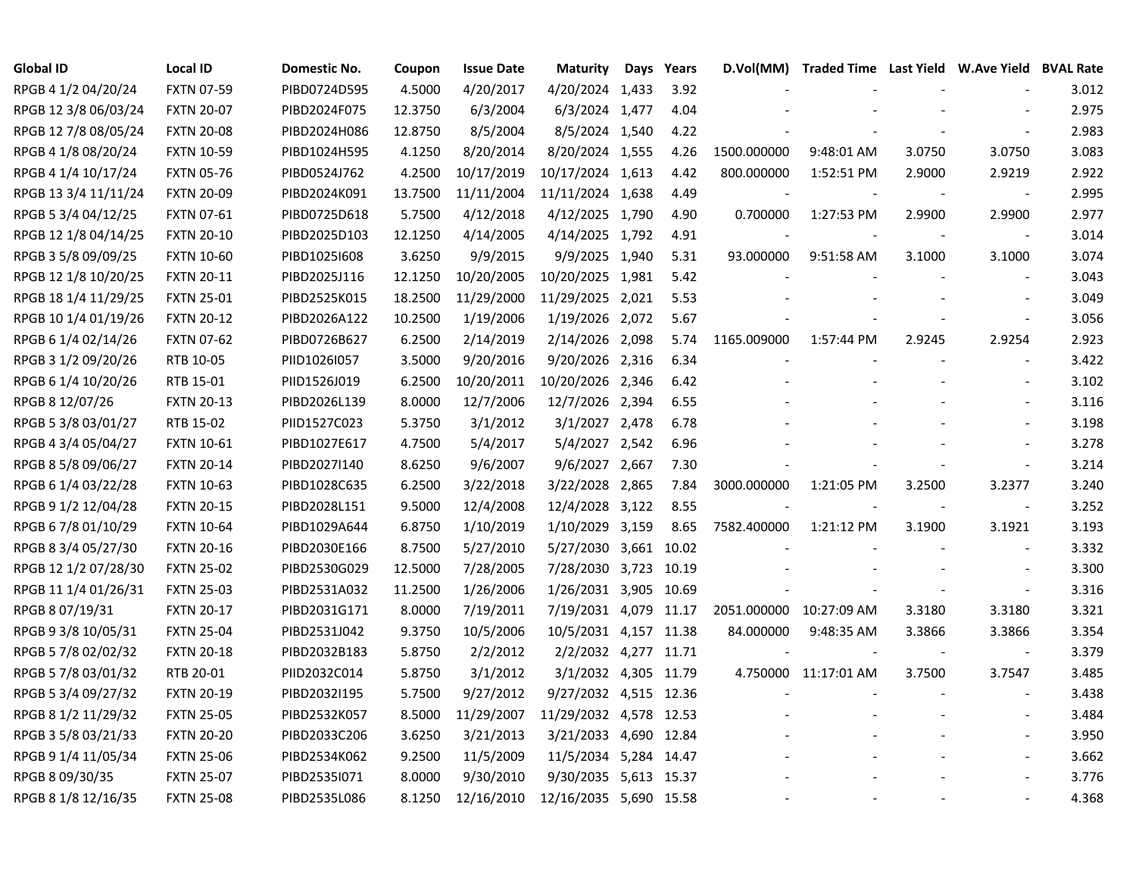| <b>Global ID</b>     | <b>Local ID</b>   | Domestic No. | Coupon  | <b>Issue Date</b> | <b>Maturity</b>        | Days | Years | D.Vol(MM)   | Traded Time Last Yield W.Ave Yield BVAL Rate |        |                          |       |
|----------------------|-------------------|--------------|---------|-------------------|------------------------|------|-------|-------------|----------------------------------------------|--------|--------------------------|-------|
| RPGB 4 1/2 04/20/24  | FXTN 07-59        | PIBD0724D595 | 4.5000  | 4/20/2017         | 4/20/2024 1,433        |      | 3.92  |             |                                              |        |                          | 3.012 |
| RPGB 12 3/8 06/03/24 | <b>FXTN 20-07</b> | PIBD2024F075 | 12.3750 | 6/3/2004          | 6/3/2024 1,477         |      | 4.04  |             |                                              |        |                          | 2.975 |
| RPGB 12 7/8 08/05/24 | <b>FXTN 20-08</b> | PIBD2024H086 | 12.8750 | 8/5/2004          | 8/5/2024 1,540         |      | 4.22  |             |                                              |        |                          | 2.983 |
| RPGB 4 1/8 08/20/24  | <b>FXTN 10-59</b> | PIBD1024H595 | 4.1250  | 8/20/2014         | 8/20/2024 1,555        |      | 4.26  | 1500.000000 | 9:48:01 AM                                   | 3.0750 | 3.0750                   | 3.083 |
| RPGB 4 1/4 10/17/24  | <b>FXTN 05-76</b> | PIBD0524J762 | 4.2500  | 10/17/2019        | 10/17/2024 1,613       |      | 4.42  | 800.000000  | 1:52:51 PM                                   | 2.9000 | 2.9219                   | 2.922 |
| RPGB 13 3/4 11/11/24 | <b>FXTN 20-09</b> | PIBD2024K091 | 13.7500 | 11/11/2004        | 11/11/2024 1,638       |      | 4.49  |             |                                              |        | $\overline{\phantom{a}}$ | 2.995 |
| RPGB 5 3/4 04/12/25  | FXTN 07-61        | PIBD0725D618 | 5.7500  | 4/12/2018         | 4/12/2025 1,790        |      | 4.90  | 0.700000    | 1:27:53 PM                                   | 2.9900 | 2.9900                   | 2.977 |
| RPGB 12 1/8 04/14/25 | <b>FXTN 20-10</b> | PIBD2025D103 | 12.1250 | 4/14/2005         | 4/14/2025 1,792        |      | 4.91  |             |                                              |        | $\blacksquare$           | 3.014 |
| RPGB 3 5/8 09/09/25  | <b>FXTN 10-60</b> | PIBD1025I608 | 3.6250  | 9/9/2015          | 9/9/2025 1,940         |      | 5.31  | 93.000000   | 9:51:58 AM                                   | 3.1000 | 3.1000                   | 3.074 |
| RPGB 12 1/8 10/20/25 | <b>FXTN 20-11</b> | PIBD2025J116 | 12.1250 | 10/20/2005        | 10/20/2025 1,981       |      | 5.42  |             |                                              |        | $\overline{a}$           | 3.043 |
| RPGB 18 1/4 11/29/25 | <b>FXTN 25-01</b> | PIBD2525K015 | 18.2500 | 11/29/2000        | 11/29/2025 2,021       |      | 5.53  |             |                                              |        | $\overline{\phantom{a}}$ | 3.049 |
| RPGB 10 1/4 01/19/26 | <b>FXTN 20-12</b> | PIBD2026A122 | 10.2500 | 1/19/2006         | 1/19/2026 2,072        |      | 5.67  |             |                                              |        | $\blacksquare$           | 3.056 |
| RPGB 6 1/4 02/14/26  | <b>FXTN 07-62</b> | PIBD0726B627 | 6.2500  | 2/14/2019         | 2/14/2026 2,098        |      | 5.74  | 1165.009000 | 1:57:44 PM                                   | 2.9245 | 2.9254                   | 2.923 |
| RPGB 3 1/2 09/20/26  | RTB 10-05         | PIID1026I057 | 3.5000  | 9/20/2016         | 9/20/2026 2,316        |      | 6.34  |             |                                              |        |                          | 3.422 |
| RPGB 6 1/4 10/20/26  | RTB 15-01         | PIID1526J019 | 6.2500  | 10/20/2011        | 10/20/2026 2,346       |      | 6.42  |             |                                              |        |                          | 3.102 |
| RPGB 8 12/07/26      | <b>FXTN 20-13</b> | PIBD2026L139 | 8.0000  | 12/7/2006         | 12/7/2026 2,394        |      | 6.55  |             |                                              |        |                          | 3.116 |
| RPGB 5 3/8 03/01/27  | RTB 15-02         | PIID1527C023 | 5.3750  | 3/1/2012          | 3/1/2027 2,478         |      | 6.78  |             |                                              |        |                          | 3.198 |
| RPGB 4 3/4 05/04/27  | <b>FXTN 10-61</b> | PIBD1027E617 | 4.7500  | 5/4/2017          | 5/4/2027 2,542         |      | 6.96  |             |                                              |        |                          | 3.278 |
| RPGB 8 5/8 09/06/27  | <b>FXTN 20-14</b> | PIBD2027I140 | 8.6250  | 9/6/2007          | 9/6/2027 2,667         |      | 7.30  |             |                                              |        | $\blacksquare$           | 3.214 |
| RPGB 6 1/4 03/22/28  | <b>FXTN 10-63</b> | PIBD1028C635 | 6.2500  | 3/22/2018         | 3/22/2028 2,865        |      | 7.84  | 3000.000000 | 1:21:05 PM                                   | 3.2500 | 3.2377                   | 3.240 |
| RPGB 9 1/2 12/04/28  | <b>FXTN 20-15</b> | PIBD2028L151 | 9.5000  | 12/4/2008         | 12/4/2028 3,122        |      | 8.55  |             |                                              |        | $\blacksquare$           | 3.252 |
| RPGB 6 7/8 01/10/29  | <b>FXTN 10-64</b> | PIBD1029A644 | 6.8750  | 1/10/2019         | 1/10/2029 3,159        |      | 8.65  | 7582.400000 | 1:21:12 PM                                   | 3.1900 | 3.1921                   | 3.193 |
| RPGB 8 3/4 05/27/30  | <b>FXTN 20-16</b> | PIBD2030E166 | 8.7500  | 5/27/2010         | 5/27/2030 3,661 10.02  |      |       |             |                                              |        | $\blacksquare$           | 3.332 |
| RPGB 12 1/2 07/28/30 | <b>FXTN 25-02</b> | PIBD2530G029 | 12.5000 | 7/28/2005         | 7/28/2030 3,723 10.19  |      |       |             |                                              |        | $\blacksquare$           | 3.300 |
| RPGB 11 1/4 01/26/31 | <b>FXTN 25-03</b> | PIBD2531A032 | 11.2500 | 1/26/2006         | 1/26/2031 3,905 10.69  |      |       |             |                                              |        | $\blacksquare$           | 3.316 |
| RPGB 8 07/19/31      | <b>FXTN 20-17</b> | PIBD2031G171 | 8.0000  | 7/19/2011         | 7/19/2031 4,079 11.17  |      |       | 2051.000000 | 10:27:09 AM                                  | 3.3180 | 3.3180                   | 3.321 |
| RPGB 9 3/8 10/05/31  | <b>FXTN 25-04</b> | PIBD2531J042 | 9.3750  | 10/5/2006         | 10/5/2031 4,157 11.38  |      |       | 84.000000   | 9:48:35 AM                                   | 3.3866 | 3.3866                   | 3.354 |
| RPGB 5 7/8 02/02/32  | <b>FXTN 20-18</b> | PIBD2032B183 | 5.8750  | 2/2/2012          | 2/2/2032 4,277 11.71   |      |       |             |                                              |        | $\blacksquare$           | 3.379 |
| RPGB 5 7/8 03/01/32  | RTB 20-01         | PIID2032C014 | 5.8750  | 3/1/2012          | 3/1/2032 4,305 11.79   |      |       |             | 4.750000 11:17:01 AM                         | 3.7500 | 3.7547                   | 3.485 |
| RPGB 5 3/4 09/27/32  | <b>FXTN 20-19</b> | PIBD2032I195 | 5.7500  | 9/27/2012         | 9/27/2032 4,515 12.36  |      |       |             |                                              |        | $\blacksquare$           | 3.438 |
| RPGB 8 1/2 11/29/32  | <b>FXTN 25-05</b> | PIBD2532K057 | 8.5000  | 11/29/2007        | 11/29/2032 4,578 12.53 |      |       |             |                                              |        |                          | 3.484 |
| RPGB 3 5/8 03/21/33  | <b>FXTN 20-20</b> | PIBD2033C206 | 3.6250  | 3/21/2013         | 3/21/2033 4,690 12.84  |      |       |             |                                              |        | $\overline{\phantom{a}}$ | 3.950 |
| RPGB 9 1/4 11/05/34  | <b>FXTN 25-06</b> | PIBD2534K062 | 9.2500  | 11/5/2009         | 11/5/2034 5,284 14.47  |      |       |             |                                              |        |                          | 3.662 |
| RPGB 8 09/30/35      | <b>FXTN 25-07</b> | PIBD2535I071 | 8.0000  | 9/30/2010         | 9/30/2035 5,613 15.37  |      |       |             |                                              |        |                          | 3.776 |
| RPGB 8 1/8 12/16/35  | <b>FXTN 25-08</b> | PIBD2535L086 | 8.1250  | 12/16/2010        | 12/16/2035 5,690 15.58 |      |       |             |                                              |        | $\overline{a}$           | 4.368 |